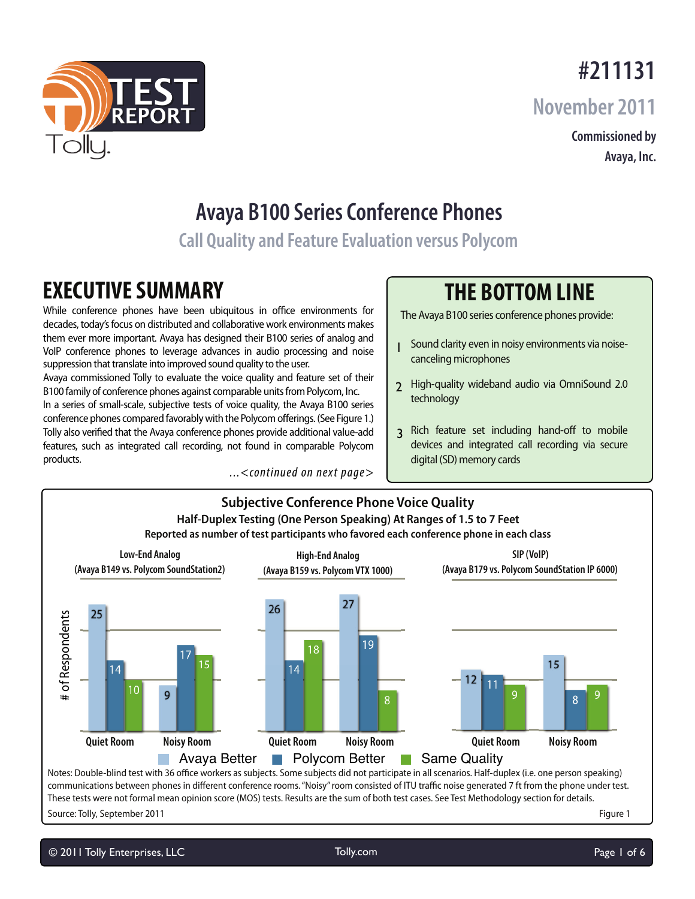## **#211131**

**November 2011**

**Commissioned by Avaya, Inc.**

# **Avaya B100 Series Conference Phones**

**Call Quality and Feature Evaluation versus Polycom**

## **EXECUTIVE SUMMARY**

While conference phones have been ubiquitous in office environments for decades, today's focus on distributed and collaborative work environments makes them ever more important. Avaya has designed their B100 series of analog and VoIP conference phones to leverage advances in audio processing and noise suppression that translate into improved sound quality to the user.

Avaya commissioned Tolly to evaluate the voice quality and feature set of their B100 family of conference phones against comparable units from Polycom, Inc. In a series of small-scale, subjective tests of voice quality, the Avaya B100 series conference phones compared favorably with the Polycom offerings. (See Figure 1.) Tolly also verified that the Avaya conference phones provide additional value-add features, such as integrated call recording, not found in comparable Polycom products.

...<continued on next page>

## **THE BOTTOM LINE**

The Avaya B100 series conference phones provide:

- 1 Sound clarity even in noisy environments via noisecanceling microphones
- 2 High-quality wideband audio via OmniSound 2.0 technology
- 3 Rich feature set including hand-off to mobile devices and integrated call recording via secure digital (SD) memory cards



These tests were not formal mean opinion score (MOS) tests. Results are the sum of both test cases. See Test Methodology section for details.

Source: Tolly, September 2011

Figure 1

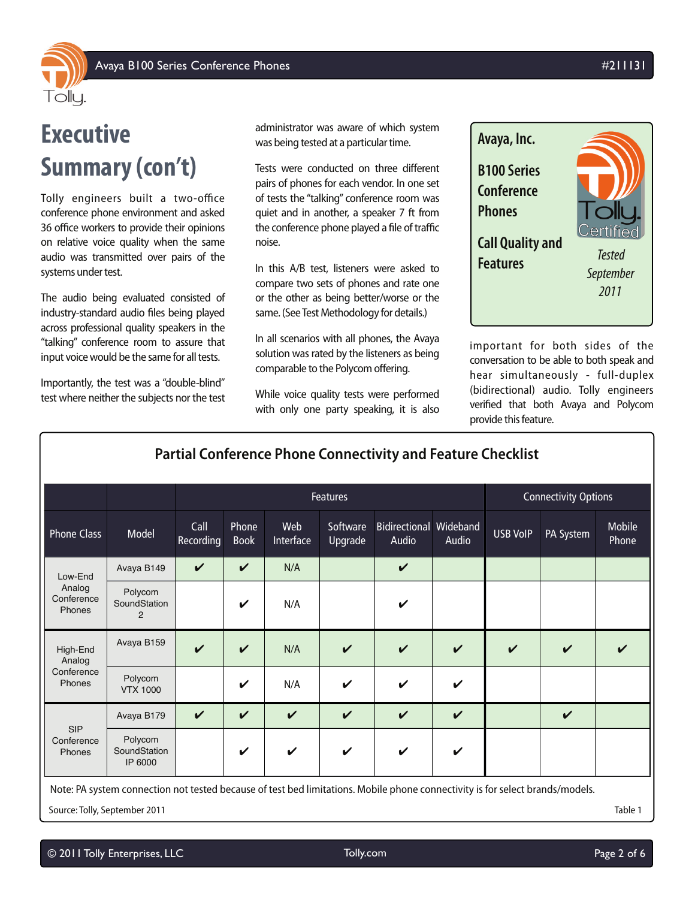

# **Executive Summary (con't)**

Tolly engineers built a two-office conference phone environment and asked 36 office workers to provide their opinions on relative voice quality when the same audio was transmitted over pairs of the systems under test.

The audio being evaluated consisted of industry-standard audio files being played across professional quality speakers in the "talking" conference room to assure that input voice would be the same for all tests.

Importantly, the test was a "double-blind" test where neither the subjects nor the test administrator was aware of which system was being tested at a particular time.

Tests were conducted on three different pairs of phones for each vendor. In one set of tests the "talking" conference room was quiet and in another, a speaker 7 ft from the conference phone played a file of traffic noise.

In this A/B test, listeners were asked to compare two sets of phones and rate one or the other as being better/worse or the same. (See Test Methodology for details.)

In all scenarios with all phones, the Avaya solution was rated by the listeners as being comparable to the Polycom offering.

While voice quality tests were performed with only one party speaking, it is also



important for both sides of the conversation to be able to both speak and hear simultaneously - full-duplex (bidirectional) audio. Tolly engineers verified that both Avaya and Polycom provide this feature.

| <b>Partial Conference Phone Connectivity and Feature Checklist</b>                                                           |                                    |                   |                            |                  |                     |                                        |                    |                             |                    |                 |
|------------------------------------------------------------------------------------------------------------------------------|------------------------------------|-------------------|----------------------------|------------------|---------------------|----------------------------------------|--------------------|-----------------------------|--------------------|-----------------|
|                                                                                                                              |                                    | Features          |                            |                  |                     |                                        |                    | <b>Connectivity Options</b> |                    |                 |
| <b>Phone Class</b>                                                                                                           | Model                              | Call<br>Recording | Phone<br><b>Book</b>       | Web<br>Interface | Software<br>Upgrade | <b>Bidirectional Wideband</b><br>Audio | Audio              | <b>USB VoIP</b>             | PA System          | Mobile<br>Phone |
| Low-End<br>Analog<br>Conference<br>Phones                                                                                    | Avaya B149                         | $\checkmark$      | $\boldsymbol{\mathcal{U}}$ | N/A              |                     | V                                      |                    |                             |                    |                 |
|                                                                                                                              | Polycom<br>SoundStation<br>2       |                   | ✓                          | N/A              |                     | V                                      |                    |                             |                    |                 |
| High-End<br>Analog<br>Conference<br>Phones                                                                                   | Avaya B159                         | $\checkmark$      | $\boldsymbol{\mathcal{U}}$ | N/A              | $\boldsymbol{\nu}$  | V                                      | $\boldsymbol{\nu}$ | $\boldsymbol{\nu}$          | $\boldsymbol{\nu}$ |                 |
|                                                                                                                              | Polycom<br><b>VTX 1000</b>         |                   | ✓                          | N/A              | ✓                   | V                                      | V                  |                             |                    |                 |
| <b>SIP</b><br>Conference<br>Phones                                                                                           | Avaya B179                         | $\checkmark$      | $\boldsymbol{\mathcal{U}}$ | $\checkmark$     | $\checkmark$        | V                                      | $\boldsymbol{\nu}$ |                             | $\checkmark$       |                 |
|                                                                                                                              | Polycom<br>SoundStation<br>IP 6000 |                   | $\checkmark$               | V                | V                   | V                                      | $\boldsymbol{\nu}$ |                             |                    |                 |
| Note: PA system connection not tested because of test bed limitations. Mobile phone connectivity is for select brands/models |                                    |                   |                            |                  |                     |                                        |                    |                             |                    |                 |

n not tested because of test bed limitations. Mobile p

Source: Tolly, September 2011 Table 1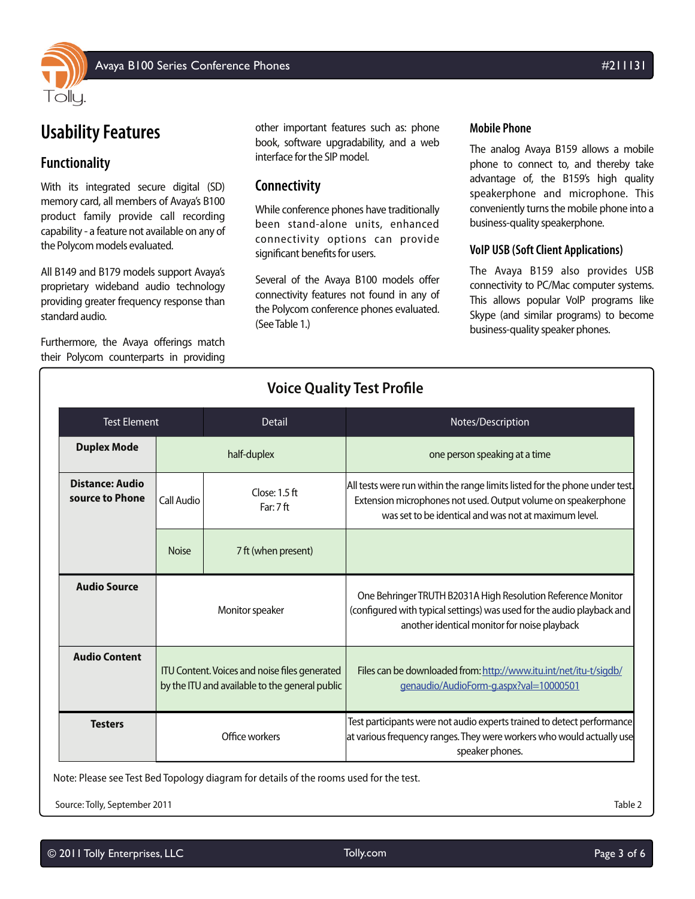

#### **Functionality**

With its integrated secure digital (SD) memory card, all members of Avaya's B100 product family provide call recording capability - a feature not available on any of the Polycom models evaluated.

All B149 and B179 models support Avaya's proprietary wideband audio technology providing greater frequency response than standard audio.

Furthermore, the Avaya offerings match their Polycom counterparts in providing

other important features such as: phone book, software upgradability, and a web interface for the SIP model.

#### **Connectivity**

While conference phones have traditionally been stand-alone units, enhanced connectivity options can provide significant benefits for users.

Several of the Avaya B100 models offer connectivity features not found in any of the Polycom conference phones evaluated. (See Table 1.)

#### **Mobile Phone**

The analog Avaya B159 allows a mobile phone to connect to, and thereby take advantage of, the B159's high quality speakerphone and microphone. This conveniently turns the mobile phone into a business-quality speakerphone.

#### **VoIP USB (Soft Client Applications)**

The Avaya B159 also provides USB connectivity to PC/Mac computer systems. This allows popular VoIP programs like Skype (and similar programs) to become business-quality speaker phones.

| <b>Voice Quality Test Profile</b>         |              |                                                                                                 |                                                                                                                                                                                                       |  |  |  |  |  |  |  |
|-------------------------------------------|--------------|-------------------------------------------------------------------------------------------------|-------------------------------------------------------------------------------------------------------------------------------------------------------------------------------------------------------|--|--|--|--|--|--|--|
| <b>Test Element</b>                       |              | <b>Detail</b>                                                                                   | Notes/Description                                                                                                                                                                                     |  |  |  |  |  |  |  |
| <b>Duplex Mode</b>                        |              | half-duplex                                                                                     | one person speaking at a time                                                                                                                                                                         |  |  |  |  |  |  |  |
| <b>Distance: Audio</b><br>source to Phone | Call Audio   | Close: $1.5$ ft<br>Far: 7ft                                                                     | All tests were run within the range limits listed for the phone under test.<br>Extension microphones not used. Output volume on speakerphone<br>was set to be identical and was not at maximum level. |  |  |  |  |  |  |  |
|                                           | <b>Noise</b> | 7 ft (when present)                                                                             |                                                                                                                                                                                                       |  |  |  |  |  |  |  |
| <b>Audio Source</b>                       |              | Monitor speaker                                                                                 | One Behringer TRUTH B2031A High Resolution Reference Monitor<br>(configured with typical settings) was used for the audio playback and<br>another identical monitor for noise playback                |  |  |  |  |  |  |  |
| <b>Audio Content</b>                      |              | ITU Content. Voices and noise files generated<br>by the ITU and available to the general public | Files can be downloaded from: http://www.itu.int/net/itu-t/sigdb/<br>genaudio/AudioForm-g.aspx?val=10000501                                                                                           |  |  |  |  |  |  |  |
| <b>Testers</b>                            |              | Office workers                                                                                  | Test participants were not audio experts trained to detect performance<br>at various frequency ranges. They were workers who would actually use<br>speaker phones.                                    |  |  |  |  |  |  |  |

Note: Please see Test Bed Topology diagram for details of the rooms used for the test.

Source: Tolly, September 2011 Table 2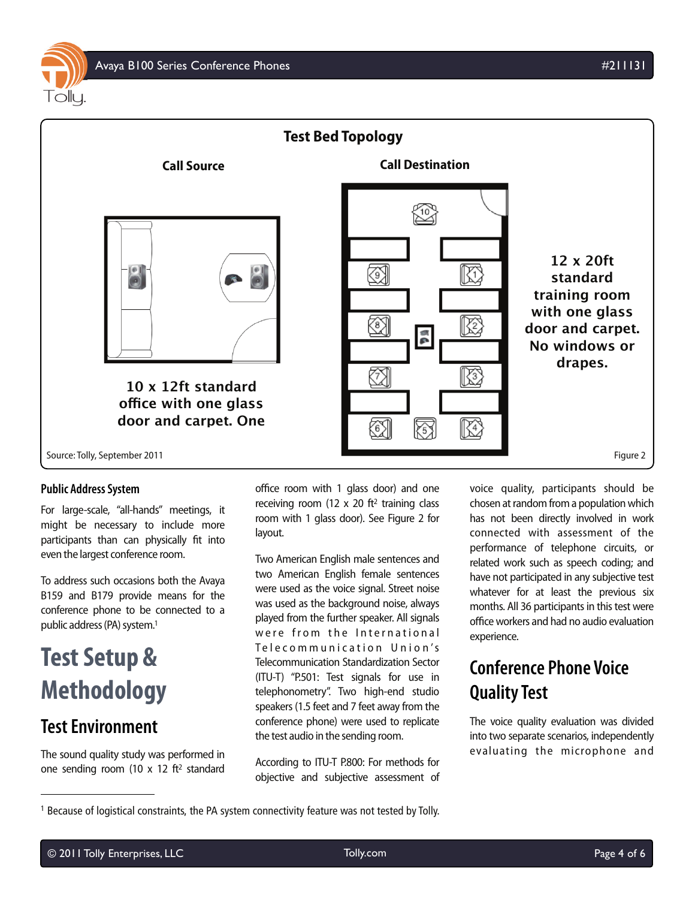

#### **Public Address System**

For large-scale, "all-hands" meetings, it might be necessary to include more participants than can physically fit into even the largest conference room.

To address such occasions both the Avaya B159 and B179 provide means for the conference phone to be connected to a public address (PA) system.1

# **Test Setup & Methodology**

### **Test Environment**

The sound quality study was performed in one sending room (10 x 12 ft2 standard

office room with 1 glass door) and one receiving room (12  $\times$  20 ft<sup>2</sup> training class room with 1 glass door). See Figure 2 for layout.

Two American English male sentences and two American English female sentences were used as the voice signal. Street noise was used as the background noise, always played from the further speaker. All signals were from the International Telecommunication Union's Telecommunication Standardization Sector (ITU-T) "P.501: Test signals for use in telephonometry". Two high-end studio speakers (1.5 feet and 7 feet away from the conference phone) were used to replicate the test audio in the sending room.

According to ITU-T P.800: For methods for objective and subjective assessment of voice quality, participants should be chosen at random from a population which has not been directly involved in work connected with assessment of the performance of telephone circuits, or related work such as speech coding; and have not participated in any subjective test whatever for at least the previous six months. All 36 participants in this test were office workers and had no audio evaluation experience.

## **Conference Phone Voice Quality Test**

The voice quality evaluation was divided into two separate scenarios, independently evaluating the microphone and

<sup>&</sup>lt;sup>1</sup> Because of logistical constraints, the PA system connectivity feature was not tested by Tolly.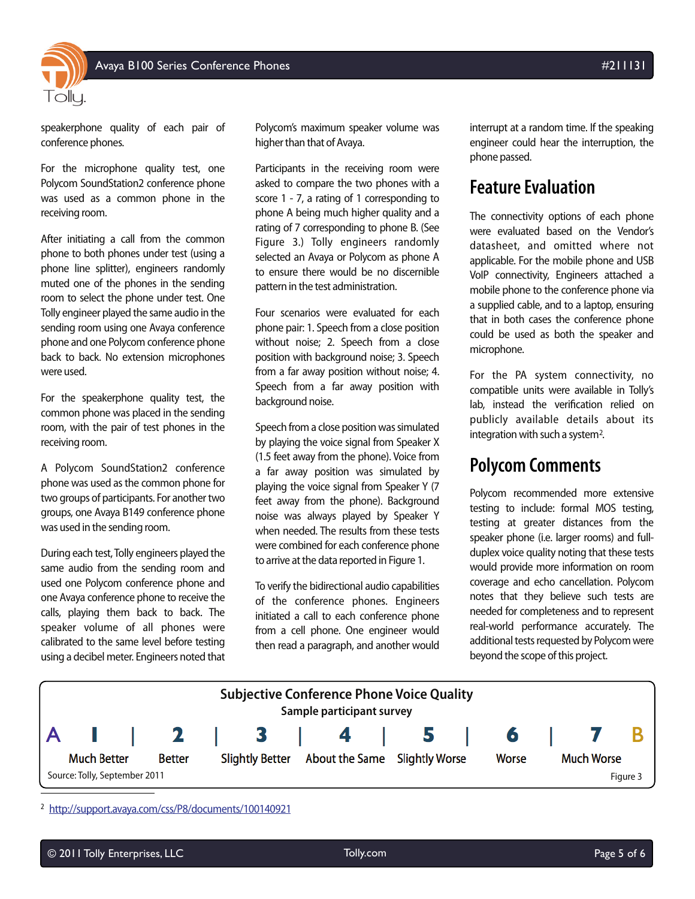

speakerphone quality of each pair of conference phones.

For the microphone quality test, one Polycom SoundStation2 conference phone was used as a common phone in the receiving room.

After initiating a call from the common phone to both phones under test (using a phone line splitter), engineers randomly muted one of the phones in the sending room to select the phone under test. One Tolly engineer played the same audio in the sending room using one Avaya conference phone and one Polycom conference phone back to back. No extension microphones were used.

For the speakerphone quality test, the common phone was placed in the sending room, with the pair of test phones in the receiving room.

A Polycom SoundStation2 conference phone was used as the common phone for two groups of participants. For another two groups, one Avaya B149 conference phone was used in the sending room.

During each test, Tolly engineers played the same audio from the sending room and used one Polycom conference phone and one Avaya conference phone to receive the calls, playing them back to back. The speaker volume of all phones were calibrated to the same level before testing using a decibel meter. Engineers noted that

Polycom's maximum speaker volume was higher than that of Avaya.

Participants in the receiving room were asked to compare the two phones with a score 1 - 7, a rating of 1 corresponding to phone A being much higher quality and a rating of 7 corresponding to phone B. (See Figure 3.) Tolly engineers randomly selected an Avaya or Polycom as phone A to ensure there would be no discernible pattern in the test administration.

Four scenarios were evaluated for each phone pair: 1. Speech from a close position without noise; 2. Speech from a close position with background noise; 3. Speech from a far away position without noise; 4. Speech from a far away position with background noise.

Speech from a close position was simulated by playing the voice signal from Speaker X (1.5 feet away from the phone). Voice from a far away position was simulated by playing the voice signal from Speaker Y (7 feet away from the phone). Background noise was always played by Speaker Y when needed. The results from these tests were combined for each conference phone to arrive at the data reported in Figure 1.

To verify the bidirectional audio capabilities of the conference phones. Engineers initiated a call to each conference phone from a cell phone. One engineer would then read a paragraph, and another would

interrupt at a random time. If the speaking engineer could hear the interruption, the phone passed.

### **Feature Evaluation**

The connectivity options of each phone were evaluated based on the Vendor's datasheet, and omitted where not applicable. For the mobile phone and USB VoIP connectivity, Engineers attached a mobile phone to the conference phone via a supplied cable, and to a laptop, ensuring that in both cases the conference phone could be used as both the speaker and microphone.

For the PA system connectivity, no compatible units were available in Tolly's lab, instead the verification relied on publicly available details about its integration with such a system<sup>2</sup>.

### **Polycom Comments**

Polycom recommended more extensive testing to include: formal MOS testing, testing at greater distances from the speaker phone (i.e. larger rooms) and fullduplex voice quality noting that these tests would provide more information on room coverage and echo cancellation. Polycom notes that they believe such tests are needed for completeness and to represent real-world performance accurately. The additional tests requested by Polycom were beyond the scope of this project.



<sup>2</sup> http://support.avaya.com/css/P8/documents/100140921